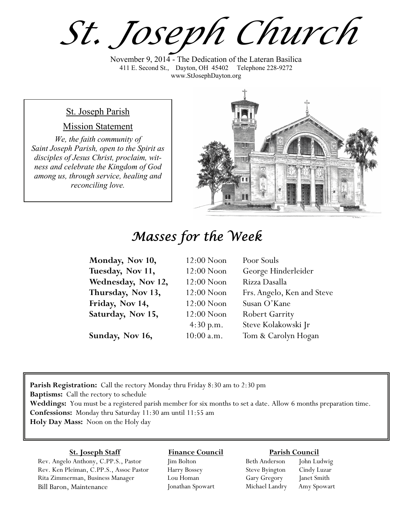*St. Joseph Church*

November 9, 2014 - The Dedication of the Lateran Basilica 411 E. Second St., Dayton, OH 45402 Telephone 228-9272 www.StJosephDayton.org

### St. Joseph Parish

### Mission Statement

*We, the faith community of Saint Joseph Parish, open to the Spirit as disciples of Jesus Christ, proclaim, witness and celebrate the Kingdom of God among us, through service, healing and reconciling love.*



# *Masses for the Week*

| Monday, Nov 10,    | $12:00$ Noon | Poor Souls                 |
|--------------------|--------------|----------------------------|
| Tuesday, Nov 11,   | $12:00$ Noon | George Hinderleider        |
| Wednesday, Nov 12, | $12:00$ Noon | Rizza Dasalla              |
| Thursday, Nov 13,  | $12:00$ Noon | Frs. Angelo, Ken and Steve |
| Friday, Nov 14,    | $12:00$ Noon | Susan O'Kane               |
| Saturday, Nov 15,  | $12:00$ Noon | <b>Robert Garrity</b>      |
|                    | 4:30 p.m.    | Steve Kolakowski Jr        |
| Sunday, Nov 16,    | $10:00$ a.m. | Tom & Carolyn Hogan        |

**Parish Registration:** Call the rectory Monday thru Friday 8:30 am to 2:30 pm **Baptisms:** Call the rectory to schedule **Weddings:** You must be a registered parish member for six months to set a date. Allow 6 months preparation time. **Confessions:** Monday thru Saturday 11:30 am until 11:55 am **Holy Day Mass:** Noon on the Holy day

#### **St. Joseph Staff**

Rev. Angelo Anthony, C.PP.S., Pastor Rev. Ken Pleiman, C.PP.S., Assoc Pastor Rita Zimmerman, Business Manager Bill Baron, Maintenance

**Finance Council** Jim Bolton Harry Bossey

Lou Homan Jonathan Spowart

#### **Parish Council**

Beth Anderson John Ludwig Steve Byington Cindy Luzar Gary Gregory Janet Smith Michael Landry Amy Spowart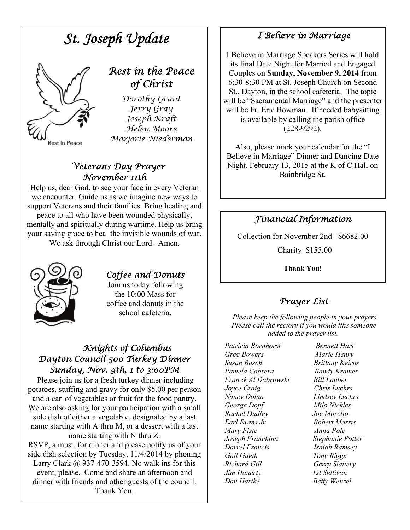# *St. Joseph Update Rest in the Peace of Christ Dorothy Grant Jerry Gray Joseph Kraft Helen Moore Marjorie Niederman*  Rest In Peace

### *Veterans Day Prayer November 11th*

Help us, dear God, to see your face in every Veteran we encounter. Guide us as we imagine new ways to support Veterans and their families. Bring healing and peace to all who have been wounded physically, mentally and spiritually during wartime. Help us bring your saving grace to heal the invisible wounds of war. We ask through Christ our Lord. Amen.



## *Coffee and Donuts*

Join us today following the 10:00 Mass for coffee and donuts in the school cafeteria.

### *Knights of Columbus Dayton Council 500 Turkey Dinner Sunday, Nov. 9th, 1 to 3:00PM*

 Please join us for a fresh turkey dinner including potatoes, stuffing and gravy for only \$5.00 per person and a can of vegetables or fruit for the food pantry. We are also asking for your participation with a small side dish of either a vegetable, designated by a last name starting with A thru M, or a dessert with a last name starting with N thru Z.

RSVP, a must, for dinner and please notify us of your side dish selection by Tuesday, 11/4/2014 by phoning Larry Clark  $\omega$  937-470-3594. No walk ins for this event, please. Come and share an afternoon and dinner with friends and other guests of the council. Thank You.

### *I Believe in Marriage*

I Believe in Marriage Speakers Series will hold its final Date Night for Married and Engaged Couples on **Sunday, November 9, 2014** from 6:30-8:30 PM at St. Joseph Church on Second St., Dayton, in the school cafeteria. The topic will be "Sacramental Marriage" and the presenter will be Fr. Eric Bowman. If needed babysitting is available by calling the parish office (228-9292).

Also, please mark your calendar for the "I Believe in Marriage" Dinner and Dancing Date Night, February 13, 2015 at the K of C Hall on Bainbridge St.

### *Financial Information*

Collection for November 2nd \$6682.00

Charity \$155.00

**Thank You!** 

## *Prayer List*

 *Please keep the following people in your prayers. Please call the rectory if you would like someone added to the prayer list.* 

*Patricia Bornhorst Bennett Hart Greg Bowers Marie Henry Susan Busch Brittany Keirns Pamela Cabrera Randy Kramer Fran & Al Dabrowski Bill Lauber Joyce Craig Chris Luehrs Nancy Dolan Lindsey Luehrs George Dopf Milo Nickles Rachel Dudley Joe Moretto Earl Evans Jr Robert Morris Mary Fiste Anna Pole Joseph Franchina Stephanie Potter Darrel Francis Isaiah Ramsey Gail Gaeth Tony Riggs Richard Gill Gerry Slattery Jim Hanerty Ed Sullivan Dan Hartke Betty Wenzel*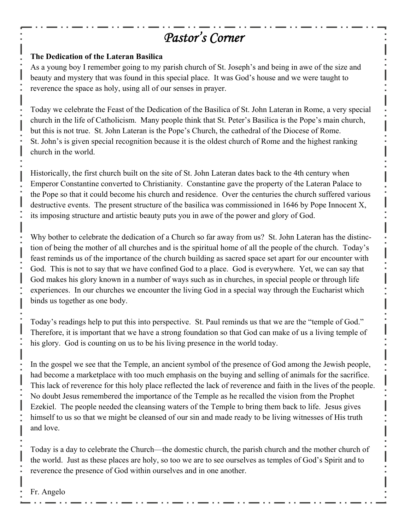# *Pastor's Corner*

### **The Dedication of the Lateran Basilica**

As a young boy I remember going to my parish church of St. Joseph's and being in awe of the size and beauty and mystery that was found in this special place. It was God's house and we were taught to reverence the space as holy, using all of our senses in prayer.

Today we celebrate the Feast of the Dedication of the Basilica of St. John Lateran in Rome, a very special church in the life of Catholicism. Many people think that St. Peter's Basilica is the Pope's main church, but this is not true. St. John Lateran is the Pope's Church, the cathedral of the Diocese of Rome. St. John's is given special recognition because it is the oldest church of Rome and the highest ranking church in the world.

Historically, the first church built on the site of St. John Lateran dates back to the 4th century when Emperor Constantine converted to Christianity. Constantine gave the property of the Lateran Palace to the Pope so that it could become his church and residence. Over the centuries the church suffered various destructive events. The present structure of the basilica was commissioned in 1646 by Pope Innocent X, its imposing structure and artistic beauty puts you in awe of the power and glory of God.

Why bother to celebrate the dedication of a Church so far away from us? St. John Lateran has the distinction of being the mother of all churches and is the spiritual home of all the people of the church. Today's feast reminds us of the importance of the church building as sacred space set apart for our encounter with God. This is not to say that we have confined God to a place. God is everywhere. Yet, we can say that God makes his glory known in a number of ways such as in churches, in special people or through life experiences. In our churches we encounter the living God in a special way through the Eucharist which binds us together as one body.

Today's readings help to put this into perspective. St. Paul reminds us that we are the "temple of God." Therefore, it is important that we have a strong foundation so that God can make of us a living temple of his glory. God is counting on us to be his living presence in the world today.

In the gospel we see that the Temple, an ancient symbol of the presence of God among the Jewish people, had become a marketplace with too much emphasis on the buying and selling of animals for the sacrifice. This lack of reverence for this holy place reflected the lack of reverence and faith in the lives of the people. No doubt Jesus remembered the importance of the Temple as he recalled the vision from the Prophet Ezekiel. The people needed the cleansing waters of the Temple to bring them back to life. Jesus gives himself to us so that we might be cleansed of our sin and made ready to be living witnesses of His truth and love.

Today is a day to celebrate the Church—the domestic church, the parish church and the mother church of the world. Just as these places are holy, so too we are to see ourselves as temples of God's Spirit and to reverence the presence of God within ourselves and in one another.

Fr. Angelo